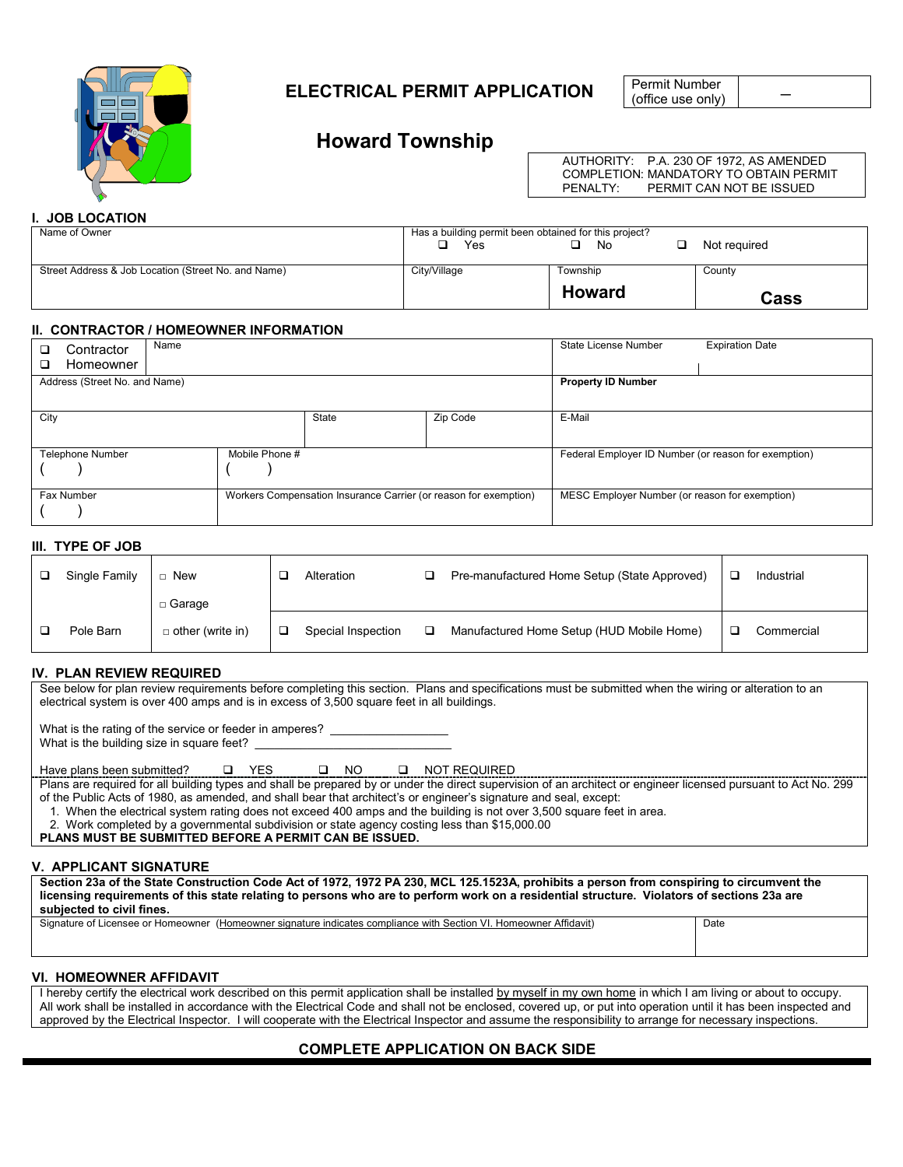

# \_ **ELECTRICAL PERMIT APPLICATION**

Permit Number (office use only)

# **Howard Township**

AUTHORITY: P.A. 230 OF 1972, AS AMENDED COMPLETION: MANDATORY TO OBTAIN PERMIT<br>PENALTY: PERMIT CAN NOT BE ISSUED PERMIT CAN NOT BE ISSUED

# **I. JOB LOCATION**

| Name of Owner                                       | Has a building permit been obtained for this project? |               |              |  |  |  |
|-----------------------------------------------------|-------------------------------------------------------|---------------|--------------|--|--|--|
|                                                     | Yes                                                   | No            | Not required |  |  |  |
|                                                     |                                                       |               |              |  |  |  |
| Street Address & Job Location (Street No. and Name) | City/Village                                          | Township      | County       |  |  |  |
|                                                     |                                                       | <b>Howard</b> | Cass         |  |  |  |

#### **II. CONTRACTOR / HOMEOWNER INFORMATION**

| Contractor<br>Homeowner       | Name           |                                                                  |                                                | State License Number                                 | <b>Expiration Date</b> |  |
|-------------------------------|----------------|------------------------------------------------------------------|------------------------------------------------|------------------------------------------------------|------------------------|--|
| Address (Street No. and Name) |                | <b>Property ID Number</b>                                        |                                                |                                                      |                        |  |
| City                          |                | E-Mail                                                           |                                                |                                                      |                        |  |
| <b>Telephone Number</b>       | Mobile Phone # |                                                                  |                                                | Federal Employer ID Number (or reason for exemption) |                        |  |
| Fax Number                    |                | Workers Compensation Insurance Carrier (or reason for exemption) | MESC Employer Number (or reason for exemption) |                                                      |                        |  |

## **III. TYPE OF JOB**

| Single Family | New                     | Alteration         | □ | Pre-manufactured Home Setup (State Approved) | Industrial |
|---------------|-------------------------|--------------------|---|----------------------------------------------|------------|
|               | $\Box$ Garage           |                    |   |                                              |            |
| Pole Barn     | $\Box$ other (write in) | Special Inspection |   | Manufactured Home Setup (HUD Mobile Home)    | Commercial |

## **IV. PLAN REVIEW REQUIRED**

See below for plan review requirements before completing this section. Plans and specifications must be submitted when the wiring or alteration to an electrical system is over 400 amps and is in excess of 3,500 square feet in all buildings.

What is the rating of the service or feeder in amperes? \_ What is the building size in square feet?

Have plans been submitted?  $\square$  YES  $\square$  NO  $\square$  NOT REQUIRED

Plans are required for all building types and shall be prepared by or under the direct supervision of an architect or engineer licensed pursuant to Act No. 299 of the Public Acts of 1980, as amended, and shall bear that architect's or engineer's signature and seal, except:

1. When the electrical system rating does not exceed 400 amps and the building is not over 3,500 square feet in area.

2. Work completed by a governmental subdivision or state agency costing less than \$15,000.00

**PLANS MUST BE SUBMITTED BEFORE A PERMIT CAN BE ISSUED.**

# **V. APPLICANT SIGNATURE**

**Section 23a of the State Construction Code Act of 1972, 1972 PA 230, MCL 125.1523A, prohibits a person from conspiring to circumvent the licensing requirements of this state relating to persons who are to perform work on a residential structure. Violators of sections 23a are subjected to civil fines.**

Signature of Licensee or Homeowner (Homeowner signature indicates compliance with Section VI. Homeowner Affidavit) Date

#### **VI. HOMEOWNER AFFIDAVIT**

I hereby certify the electrical work described on this permit application shall be installed by myself in my own home in which I am living or about to occupy. All work shall be installed in accordance with the Electrical Code and shall not be enclosed, covered up, or put into operation until it has been inspected and approved by the Electrical Inspector. I will cooperate with the Electrical Inspector and assume the responsibility to arrange for necessary inspections.

# **COMPLETE APPLICATION ON BACK SIDE**